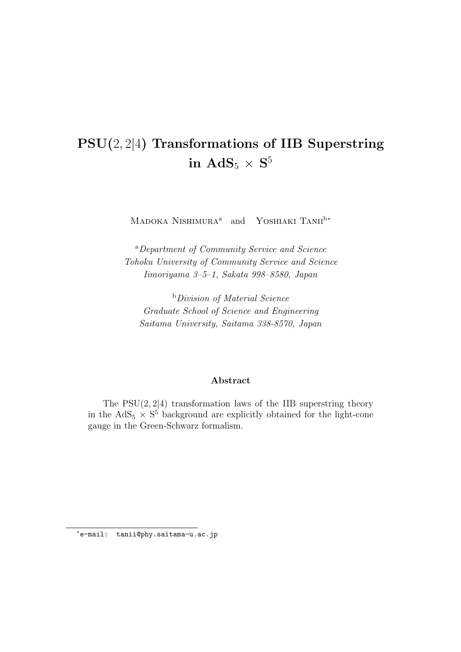# **PSU(**2*,* 2*|*4**) Transformations of IIB Superstring**  $\mathbf{i}$ **n**  $\mathbf{AdS}_5 \times \mathbf{S}^5$

MADOKA NISHIMURA<sup>a</sup> and YOSHIAKI TANII<sup>b∗</sup>

<sup>a</sup>*Department of Community Service and Science Tohoku University of Community Service and Science Iimoriyama 3–5–1, Sakata 998–8580, Japan*

<sup>b</sup>*Division of Material Science Graduate School of Science and Engineering Saitama University, Saitama 338-8570, Japan*

#### **Abstract**

The PSU(2*,* 2*|*4) transformation laws of the IIB superstring theory in the  $AdS_5 \times S^5$  background are explicitly obtained for the light-cone gauge in the Green-Schwarz formalism.

*<sup>∗</sup>*e-mail: tanii@phy.saitama-u.ac.jp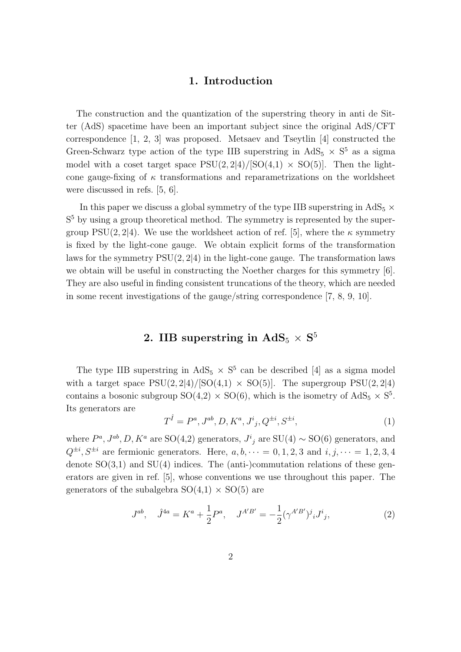#### **1. Introduction**

The construction and the quantization of the superstring theory in anti de Sitter (AdS) spacetime have been an important subject since the original AdS/CFT correspondence [1, 2, 3] was proposed. Metsaev and Tseytlin [4] constructed the Green-Schwarz type action of the type IIB superstring in  $AdS_5 \times S^5$  as a sigma model with a coset target space  $PSU(2, 2|4)/[SO(4,1) \times SO(5)]$ . Then the lightcone gauge-fixing of  $\kappa$  transformations and reparametrizations on the worldsheet were discussed in refs. [5, 6].

In this paper we discuss a global symmetry of the type IIB superstring in  $AdS_5 \times$ S<sup>5</sup> by using a group theoretical method. The symmetry is represented by the supergroup PSU(2, 2|4). We use the worldsheet action of ref. [5], where the  $\kappa$  symmetry is fixed by the light-cone gauge. We obtain explicit forms of the transformation laws for the symmetry PSU(2*,* 2*|*4) in the light-cone gauge. The transformation laws we obtain will be useful in constructing the Noether charges for this symmetry [6]. They are also useful in finding consistent truncations of the theory, which are needed in some recent investigations of the gauge/string correspondence [7, 8, 9, 10].

## $2.$  IIB superstring in  $\text{AdS}_5 \times \text{S}^5$

The type IIB superstring in  $AdS_5 \times S^5$  can be described [4] as a sigma model with a target space  $PSU(2, 2|4)/[SO(4,1) \times SO(5)]$ . The supergroup  $PSU(2, 2|4)$ contains a bosonic subgroup  $SO(4,2) \times SO(6)$ , which is the isometry of  $AdS_5 \times S^5$ . Its generators are

$$
T^{\hat{I}} = P^a, J^{ab}, D, K^a, J^i{}_j, Q^{\pm i}, S^{\pm i}, \tag{1}
$$

where  $P^a$ ,  $J^{ab}$ ,  $D$ ,  $K^a$  are SO(4,2) generators,  $J^i{}_j$  are SU(4)  $\sim$  SO(6) generators, and  $Q^{\pm i}$ ,  $S^{\pm i}$  are fermionic generators. Here,  $a, b, \dots = 0, 1, 2, 3$  and  $i, j, \dots = 1, 2, 3, 4$ denote  $SO(3,1)$  and  $SU(4)$  indices. The (anti-)commutation relations of these generators are given in ref. [5], whose conventions we use throughout this paper. The generators of the subalgebra  $SO(4,1) \times SO(5)$  are

$$
J^{ab}, \quad \hat{J}^{4a} = K^a + \frac{1}{2}P^a, \quad J^{A'B'} = -\frac{1}{2}(\gamma^{A'B'})^j{}_i J^i{}_j,\tag{2}
$$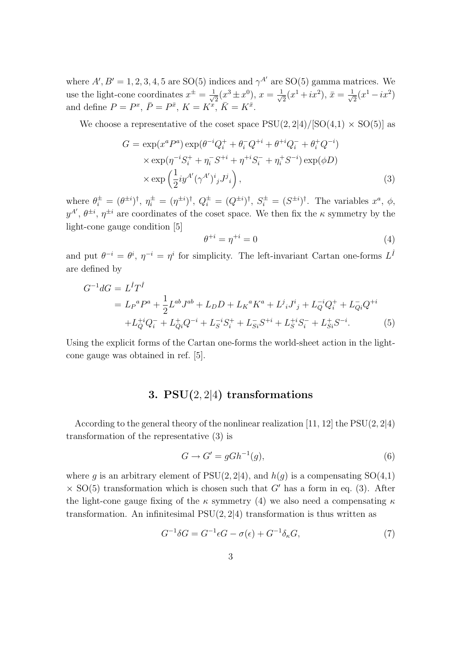where  $A'$ ,  $B' = 1, 2, 3, 4, 5$  are SO(5) indices and  $\gamma^{A'}$  are SO(5) gamma matrices. We use the light-cone coordinates  $x^{\pm} = \frac{1}{\sqrt{2}}$  $\frac{1}{2}(x^3 \pm x^0), x = \frac{1}{\sqrt{2}}$  $\frac{1}{2}(x^1 + ix^2), \, \bar{x} = \frac{1}{\sqrt{2}}$  $\frac{1}{2}(x^1 - ix^2)$ and define  $P = P^x$ ,  $\bar{P} = P^{\bar{x}}$ ,  $K = K^{\bar{x}}$ ,  $\bar{K} = K^{\bar{x}}$ .

We choose a representative of the coset space  $PSU(2, 2|4)/[SO(4,1) \times SO(5)]$  as

$$
G = \exp(x^a P^a) \exp(\theta^{-i} Q_i^+ + \theta_i^- Q^{+i} + \theta^{+i} Q_i^- + \theta_i^+ Q^{-i})
$$
  
 
$$
\times \exp(\eta^{-i} S_i^+ + \eta_i^- S^{+i} + \eta^{+i} S_i^- + \eta_i^+ S^{-i}) \exp(\phi D)
$$
  
 
$$
\times \exp\left(\frac{1}{2} i y^{A'} (\gamma^{A'})^i{}_j J^j{}_i\right), \tag{3}
$$

where  $\theta_i^{\pm} = (\theta^{\pm i})^{\dagger}, \eta_i^{\pm} = (\eta^{\pm i})^{\dagger}, Q_i^{\pm} = (Q^{\pm i})^{\dagger}, S_i^{\pm} = (S^{\pm i})^{\dagger}$ . The variables  $x^a, \phi$ ,  $y^{A'}$ ,  $\theta^{\pm i}$ ,  $\eta^{\pm i}$  are coordinates of the coset space. We then fix the *κ* symmetry by the light-cone gauge condition [5]

$$
\theta^{+i} = \eta^{+i} = 0\tag{4}
$$

and put  $\theta^{-i} = \theta^i$ ,  $\eta^{-i} = \eta^i$  for simplicity. The left-invariant Cartan one-forms  $L^{\hat{I}}$ are defined by

$$
G^{-1}dG = L^{\hat{I}}T^{\hat{I}}
$$
  
=  $L_P{}^aP^a + \frac{1}{2}L^{ab}J^{ab} + L_D D + L_K{}^aK^a + L^j{}_iJ^i{}_j + L^{-i}_Q Q^+_i + L^{-i}_Q Q^{+i}_j$   
+  $L^{+i}_Q Q^-_i + L^{+i}_Q Q^{-i}_i + L^{-i}_S S^+_i + L^{-i}_{Si} S^{+i}_i + L^{+i}_S S^-_i + L^{+i}_{Si} S^{-i}_i.$  (5)

Using the explicit forms of the Cartan one-forms the world-sheet action in the lightcone gauge was obtained in ref. [5].

### **3. PSU(**2*,* 2*|*4**) transformations**

According to the general theory of the nonlinear realization [11, 12] the PSU(2*,* 2*|*4) transformation of the representative (3) is

$$
G \to G' = gGh^{-1}(g),\tag{6}
$$

where *g* is an arbitrary element of  $PSU(2, 2|4)$ , and  $h(g)$  is a compensating  $SO(4,1)$  $\times$  SO(5) transformation which is chosen such that *G'* has a form in eq. (3). After the light-cone gauge fixing of the *κ* symmetry (4) we also need a compensating *κ* transformation. An infinitesimal PSU(2*,* 2*|*4) transformation is thus written as

$$
G^{-1}\delta G = G^{-1}\epsilon G - \sigma(\epsilon) + G^{-1}\delta_{\kappa}G,\tag{7}
$$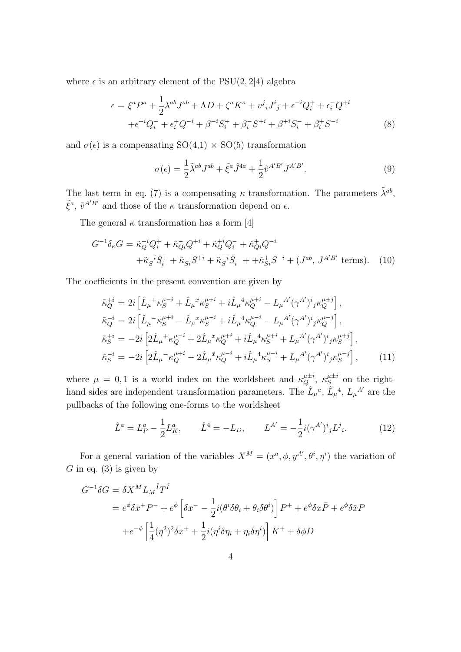where  $\epsilon$  is an arbitrary element of the PSU(2, 2|4) algebra

$$
\epsilon = \xi^{a} P^{a} + \frac{1}{2} \lambda^{ab} J^{ab} + \Lambda D + \zeta^{a} K^{a} + v^{j}{}_{i} J^{i}{}_{j} + \epsilon^{-i} Q_{i}^{+} + \epsilon_{i}^{-} Q^{+i} + \epsilon^{+i} Q_{i}^{-} + \epsilon^{+i} Q_{i}^{-} + \beta^{+i} S_{i}^{+} + \beta_{i}^{-} S^{+i} + \beta^{+i} S_{i}^{-} + \beta_{i}^{+} S^{-i}
$$
\n
$$
(8)
$$

and  $\sigma(\epsilon)$  is a compensating  $SO(4,1) \times SO(5)$  transformation

$$
\sigma(\epsilon) = \frac{1}{2}\tilde{\lambda}^{ab}J^{ab} + \tilde{\xi}^a\hat{J}^{4a} + \frac{1}{2}\tilde{v}^{A'B'}J^{A'B'}.
$$
\n(9)

The last term in eq. (7) is a compensating  $\kappa$  transformation. The parameters  $\tilde{\lambda}^{ab}$ ,  $\tilde{\xi}^a$ ,  $\tilde{v}^{A'B'}$  and those of the  $\kappa$  transformation depend on  $\epsilon$ .

The general  $\kappa$  transformation has a form [4]

$$
G^{-1}\delta_{\kappa}G = \tilde{\kappa}_{Q}^{-i}Q_{i}^{+} + \tilde{\kappa}_{Qi}^{-}Q^{+i} + \tilde{\kappa}_{Q}^{+i}Q_{i}^{-} + \tilde{\kappa}_{Qi}^{+}Q^{-i} + \tilde{\kappa}_{S}^{-i}S_{i}^{+} + \tilde{\kappa}_{Si}^{-i}S^{+i} + \tilde{\kappa}_{S}^{+i}S_{i}^{-} + + \tilde{\kappa}_{Si}^{+i}S^{-i} + (J^{ab}, J^{A'B'} \text{ terms}). \tag{10}
$$

The coefficients in the present convention are given by

$$
\tilde{\kappa}_{Q}^{+i} = 2i \left[ \hat{L}_{\mu}^{+} \kappa_{S}^{\mu-i} + \hat{L}_{\mu}^{\bar{x}} \kappa_{S}^{\mu+i} + i \hat{L}_{\mu}^{4} \kappa_{Q}^{\mu+i} - L_{\mu}^{A'} (\gamma^{A'})^{i}{}_{j} \kappa_{Q}^{\mu+j} \right],
$$
\n
$$
\tilde{\kappa}_{Q}^{-i} = 2i \left[ \hat{L}_{\mu}^{+} \kappa_{S}^{\mu+i} - \hat{L}_{\mu}^{x} \kappa_{S}^{\mu-i} + i \hat{L}_{\mu}^{4} \kappa_{Q}^{\mu-i} - L_{\mu}^{A'} (\gamma^{A'})^{i}{}_{j} \kappa_{Q}^{\mu-j} \right],
$$
\n
$$
\tilde{\kappa}_{S}^{+i} = -2i \left[ 2 \hat{L}_{\mu}^{+} \kappa_{Q}^{\mu-i} + 2 \hat{L}_{\mu}^{x} \kappa_{Q}^{\mu+i} + i \hat{L}_{\mu}^{4} \kappa_{S}^{\mu+i} + L_{\mu}^{A'} (\gamma^{A'})^{i}{}_{j} \kappa_{S}^{\mu+i} \right],
$$
\n
$$
\tilde{\kappa}_{S}^{-i} = -2i \left[ 2 \hat{L}_{\mu}^{+} \kappa_{Q}^{\mu+i} - 2 \hat{L}_{\mu}^{x} \kappa_{Q}^{\mu-i} + i \hat{L}_{\mu}^{4} \kappa_{S}^{\mu-i} + L_{\mu}^{A'} (\gamma^{A'})^{i}{}_{j} \kappa_{S}^{\mu-j} \right], \tag{11}
$$

where  $\mu = 0, 1$  is a world index on the worldsheet and  $\kappa_Q^{\mu \pm i}$ ,  $\kappa_S^{\mu \pm i}$  on the righthand sides are independent transformation parameters. The  $\hat{L}_{\mu}^{\ a}$ ,  $\hat{L}_{\mu}^{\ a}$ ,  $\hat{L}_{\mu}^{\ A'}$  are the pullbacks of the following one-forms to the worldsheet

$$
\hat{L}^a = L_P^a - \frac{1}{2} L_K^a, \qquad \hat{L}^4 = -L_D, \qquad L^{A'} = -\frac{1}{2} i (\gamma^{A'})^i{}_j L^j{}_i. \tag{12}
$$

For a general variation of the variables  $X^M = (x^a, \phi, y^{A'}, \theta^i, \eta^i)$  the variation of *G* in eq. (3) is given by

$$
G^{-1}\delta G = \delta X^M L_M{}^{\hat{I}} T^{\hat{I}}
$$
  
=  $e^{\phi} \delta x^+ P^- + e^{\phi} \left[ \delta x^- - \frac{1}{2} i (\theta^i \delta \theta_i + \theta_i \delta \theta^i) \right] P^+ + e^{\phi} \delta x \bar{P} + e^{\phi} \delta \bar{x} P$   
+ $e^{-\phi} \left[ \frac{1}{4} (\eta^2)^2 \delta x^+ + \frac{1}{2} i (\eta^i \delta \eta_i + \eta_i \delta \eta^i) \right] K^+ + \delta \phi D$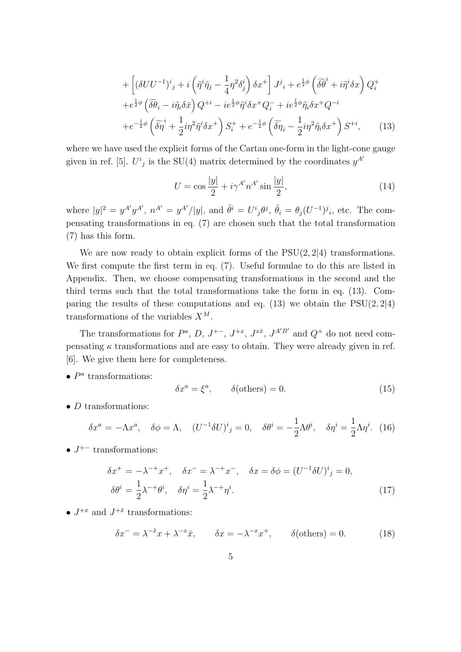$$
+\left[\left(\delta U U^{-1}\right)^{i}{}_{j}+i\left(\tilde{\eta}^{i}\tilde{\eta}_{j}-\frac{1}{4}\eta^{2}\delta_{j}^{i}\right)\delta x^{+}\right]J^{j}{}_{i}+e^{\frac{1}{2}\phi}\left(\tilde{\delta}\tilde{\theta}^{i}+i\tilde{\eta}^{i}\delta x\right)Q_{i}^{+} +e^{\frac{1}{2}\phi}\left(\tilde{\delta}\tilde{\theta}_{i}-i\tilde{\eta}_{i}\delta\bar{x}\right)Q^{+i}-ie^{\frac{1}{2}\phi}\tilde{\eta}^{i}\delta x^{+}Q_{i}^{-}+ie^{\frac{1}{2}\phi}\tilde{\eta}_{i}\delta x^{+}Q^{-i} +e^{-\frac{1}{2}\phi}\left(\tilde{\delta}\tilde{\eta}^{i}+\frac{1}{2}i\eta^{2}\tilde{\eta}^{i}\delta x^{+}\right)S_{i}^{+}+e^{-\frac{1}{2}\phi}\left(\tilde{\delta}\tilde{\eta}_{i}-\frac{1}{2}i\eta^{2}\tilde{\eta}_{i}\delta x^{+}\right)S^{+i},\qquad(13)
$$

where we have used the explicit forms of the Cartan one-form in the light-cone gauge given in ref. [5].  $U^i{}_j$  is the SU(4) matrix determined by the coordinates  $y^{A'}$ 

$$
U = \cos\frac{|y|}{2} + i\gamma^{A'}n^{A'}\sin\frac{|y|}{2},\tag{14}
$$

where  $|y|^2 = y^{A'}y^{A'}$ ,  $n^{A'} = y^{A'}/|y|$ , and  $\tilde{\theta}^i = U^i{}_j\theta^j$ ,  $\tilde{\theta}_i = \theta_j(U^{-1})^j{}_i$ , etc. The compensating transformations in eq. (7) are chosen such that the total transformation (7) has this form.

We are now ready to obtain explicit forms of the PSU(2*,* 2*|*4) transformations. We first compute the first term in eq. (7). Useful formulae to do this are listed in Appendix. Then, we choose compensating transformations in the second and the third terms such that the total transformations take the form in eq. (13). Comparing the results of these computations and eq. (13) we obtain the PSU(2*,* 2*|*4) transformations of the variables *X<sup>M</sup>*.

The transformations for  $P^a$ ,  $D$ ,  $J^{+-}$ ,  $J^{+x}$ ,  $J^{x\bar{x}}$ ,  $J^{A'B'}$  and  $Q^+$  do not need compensating  $\kappa$  transformations and are easy to obtain. They were already given in ref. [6]. We give them here for completeness.

*• P a* transformations:

$$
\delta x^a = \xi^a, \qquad \delta(\text{others}) = 0. \tag{15}
$$

*• D* transformations:

$$
\delta x^a = -\Lambda x^a, \quad \delta \phi = \Lambda, \quad (U^{-1} \delta U)^i{}_j = 0, \quad \delta \theta^i = -\frac{1}{2} \Lambda \theta^i, \quad \delta \eta^i = \frac{1}{2} \Lambda \eta^i. \tag{16}
$$

*• J* <sup>+</sup>*<sup>−</sup>* transformations:

$$
\delta x^+ = -\lambda^{-+} x^+, \quad \delta x^- = \lambda^{-+} x^-, \quad \delta x = \delta \phi = (U^{-1} \delta U)^i{}_j = 0,
$$
  

$$
\delta \theta^i = \frac{1}{2} \lambda^{-+} \theta^i, \quad \delta \eta^i = \frac{1}{2} \lambda^{-+} \eta^i.
$$
 (17)

•  $J^{+x}$  and  $J^{+\bar{x}}$  transformations:

$$
\delta x^- = \lambda^{-\bar{x}} x + \lambda^{-x} \bar{x}, \qquad \delta x = -\lambda^{-x} x^+, \qquad \delta(\text{others}) = 0.
$$
 (18)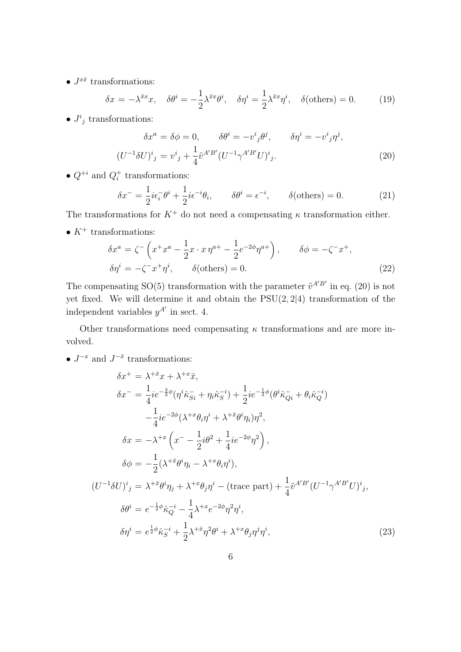•  $J^{x\bar{x}}$  transformations:

$$
\delta x = -\lambda^{\bar{x}x} x, \quad \delta \theta^i = -\frac{1}{2} \lambda^{\bar{x}x} \theta^i, \quad \delta \eta^i = \frac{1}{2} \lambda^{\bar{x}x} \eta^i, \quad \delta(\text{others}) = 0. \tag{19}
$$

•  $J^i{}_j$  transformations:

$$
\delta x^a = \delta \phi = 0, \qquad \delta \theta^i = -v^i{}_j \theta^j, \qquad \delta \eta^i = -v^i{}_j \eta^j,
$$
  

$$
(U^{-1} \delta U)^i{}_j = v^i{}_j + \frac{1}{4} \tilde{v}^{A'B'} (U^{-1} \gamma^{A'B'} U)^i{}_j.
$$
 (20)

•  $Q^{+i}$  and  $Q_i^+$  transformations:

$$
\delta x^- = \frac{1}{2} i \epsilon_i^- \theta^i + \frac{1}{2} i \epsilon^{-i} \theta_i, \qquad \delta \theta^i = \epsilon^{-i}, \qquad \delta \text{(others)} = 0. \tag{21}
$$

The transformations for  $K^+$  do not need a compensating  $\kappa$  transformation either.

•  $K^+$  transformations:

$$
\delta x^{a} = \zeta^{-} \left( x^{+} x^{a} - \frac{1}{2} x \cdot x \eta^{a+} - \frac{1}{2} e^{-2\phi} \eta^{a+} \right), \qquad \delta \phi = -\zeta^{-} x^{+},
$$
  

$$
\delta \eta^{i} = -\zeta^{-} x^{+} \eta^{i}, \qquad \delta (\text{others}) = 0.
$$
 (22)

The compensating SO(5) transformation with the parameter  $\tilde{v}^{A'B'}$  in eq. (20) is not yet fixed. We will determine it and obtain the PSU(2*,* 2*|*4) transformation of the independent variables  $y^{A'}$  in sect. 4.

Other transformations need compensating *κ* transformations and are more involved.

•  $J^{-x}$  and  $J^{-\bar{x}}$  transformations:

$$
\delta x^{+} = \lambda^{+\bar{x}} x + \lambda^{+\bar{x}} \bar{x},
$$
  
\n
$$
\delta x^{-} = \frac{1}{4} i e^{-\frac{3}{2}\phi} (\eta^{i} \hat{\kappa}_{Si}^{-} + \eta_{i} \hat{\kappa}_{S}^{-i}) + \frac{1}{2} i e^{-\frac{1}{2}\phi} (\theta^{i} \hat{\kappa}_{Qi}^{-} + \theta_{i} \hat{\kappa}_{Q}^{-i})
$$
  
\n
$$
-\frac{1}{4} i e^{-2\phi} (\lambda^{+\bar{x}} \theta_{i} \eta^{i} + \lambda^{+\bar{x}} \theta^{i} \eta_{i}) \eta^{2},
$$
  
\n
$$
\delta x = -\lambda^{+\bar{x}} \left( x^{-} - \frac{1}{2} i \theta^{2} + \frac{1}{4} i e^{-2\phi} \eta^{2} \right),
$$
  
\n
$$
\delta \phi = -\frac{1}{2} (\lambda^{+\bar{x}} \theta^{i} \eta_{i} - \lambda^{+\bar{x}} \theta_{i} \eta^{i}),
$$
  
\n
$$
(U^{-1} \delta U)^{i}{}_{j} = \lambda^{+\bar{x}} \theta^{i} \eta_{j} + \lambda^{+\bar{x}} \theta_{j} \eta^{i} - (\text{trace part}) + \frac{1}{4} \tilde{v}^{A'B'} (U^{-1} \gamma^{A'B'} U)^{i}{}_{j},
$$
  
\n
$$
\delta \theta^{i} = e^{-\frac{1}{2}\phi} \hat{\kappa}_{Q}^{-i} - \frac{1}{4} \lambda^{+\bar{x}} e^{-2\phi} \eta^{2} \eta^{i},
$$
  
\n
$$
\delta \eta^{i} = e^{\frac{1}{2}\phi} \hat{\kappa}_{S}^{-i} + \frac{1}{2} \lambda^{+\bar{x}} \eta^{2} \theta^{i} + \lambda^{+\bar{x}} \theta_{j} \eta^{j} \eta^{i},
$$
\n(23)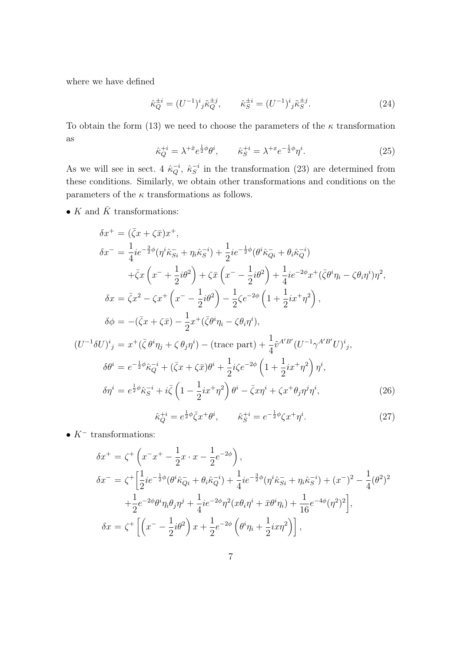where we have defined

$$
\hat{\kappa}_Q^{\pm i} = (U^{-1})^i{}_j \tilde{\kappa}_Q^{\pm j}, \qquad \hat{\kappa}_S^{\pm i} = (U^{-1})^i{}_j \tilde{\kappa}_S^{\pm j}.
$$
\n(24)

To obtain the form (13) we need to choose the parameters of the  $\kappa$  transformation as

$$
\hat{\kappa}_Q^{+i} = \lambda^{+\bar{x}} e^{\frac{1}{2}\phi} \theta^i, \qquad \hat{\kappa}_S^{+i} = \lambda^{+x} e^{-\frac{1}{2}\phi} \eta^i. \tag{25}
$$

As we will see in sect. 4  $\hat{\kappa}_Q^{-i}$ ,  $\hat{\kappa}_S^{-i}$  in the transformation (23) are determined from these conditions. Similarly, we obtain other transformations and conditions on the parameters of the  $\kappa$  transformations as follows.

 $\bullet$   $K$  and  $\bar{K}$  transformations:

$$
\delta x^{+} = (\bar{\zeta}x + \zeta \bar{x})x^{+},
$$
  
\n
$$
\delta x^{-} = \frac{1}{4}ie^{-\frac{3}{2}\phi}(\eta^{i}\hat{\kappa}_{Si}^{-} + \eta_{i}\hat{\kappa}_{S}^{-i}) + \frac{1}{2}ie^{-\frac{1}{2}\phi}(\theta^{i}\hat{\kappa}_{Qi}^{-} + \theta_{i}\hat{\kappa}_{Q}^{-i})
$$
  
\n
$$
+ \bar{\zeta}x\left(x^{-} + \frac{1}{2}i\theta^{2}\right) + \zeta\bar{x}\left(x^{-} - \frac{1}{2}i\theta^{2}\right) + \frac{1}{4}ie^{-2\phi}x^{+}(\bar{\zeta}\theta^{i}\eta_{i} - \zeta\theta_{i}\eta^{i})\eta^{2},
$$
  
\n
$$
\delta x = \bar{\zeta}x^{2} - \zeta x^{+}\left(x^{-} - \frac{1}{2}i\theta^{2}\right) - \frac{1}{2}\zeta e^{-2\phi}\left(1 + \frac{1}{2}ix^{+}\eta^{2}\right),
$$
  
\n
$$
\delta\phi = -(\bar{\zeta}x + \zeta\bar{x}) - \frac{1}{2}x^{+}(\bar{\zeta}\theta^{i}\eta_{i} - \zeta\theta_{i}\eta^{i}),
$$
  
\n
$$
(U^{-1}\delta U)^{i}{}_{j} = x^{+}(\bar{\zeta}\theta^{i}\eta_{j} + \zeta\theta_{j}\eta^{i}) - (\text{trace part}) + \frac{1}{4}\tilde{v}^{A'B'}(U^{-1}\gamma^{A'B'}U)^{i}{}_{j},
$$
  
\n
$$
\delta\theta^{i} = e^{-\frac{1}{2}\phi}\hat{\kappa}_{Q}^{-i} + (\bar{\zeta}x + \zeta\bar{x})\theta^{i} + \frac{1}{2}i\zeta e^{-2\phi}\left(1 + \frac{1}{2}ix^{+}\eta^{2}\right)\eta^{i},
$$
  
\n
$$
\delta\eta^{i} = e^{\frac{1}{2}\phi}\hat{\kappa}_{S}^{-i} + i\bar{\zeta}\left(1 - \frac{1}{2}ix^{+}\eta^{2}\right)\theta^{i} - \bar{\zeta}x\eta^{i} + \zeta x^{+}\theta_{j}\eta^{j}\eta^{i},
$$
  
\n
$$
\hat{\kappa}_{Q}^{+i} = e^{\frac{
$$

$$
\bullet
$$
  $K^-$  transformations:

$$
\delta x^{+} = \zeta^{+} \left( x^{-} x^{+} - \frac{1}{2} x \cdot x - \frac{1}{2} e^{-2\phi} \right),
$$
  
\n
$$
\delta x^{-} = \zeta^{+} \left[ \frac{1}{2} i e^{-\frac{1}{2} \phi} (\theta^{i} \hat{\kappa}_{Qi} + \theta_{i} \hat{\kappa}_{Q}^{-i}) + \frac{1}{4} i e^{-\frac{3}{2} \phi} (\eta^{i} \hat{\kappa}_{Si} + \eta_{i} \hat{\kappa}_{S}^{-i}) + (x^{-})^{2} - \frac{1}{4} (\theta^{2})^{2} \right.
$$
  
\n
$$
+ \frac{1}{2} e^{-2\phi} \theta^{i} \eta_{i} \theta_{j} \eta^{j} + \frac{1}{4} i e^{-2\phi} \eta^{2} (x \theta_{i} \eta^{i} + \bar{x} \theta^{i} \eta_{i}) + \frac{1}{16} e^{-4\phi} (\eta^{2})^{2} \right],
$$
  
\n
$$
\delta x = \zeta^{+} \left[ \left( x^{-} - \frac{1}{2} i \theta^{2} \right) x + \frac{1}{2} e^{-2\phi} \left( \theta^{i} \eta_{i} + \frac{1}{2} i x \eta^{2} \right) \right],
$$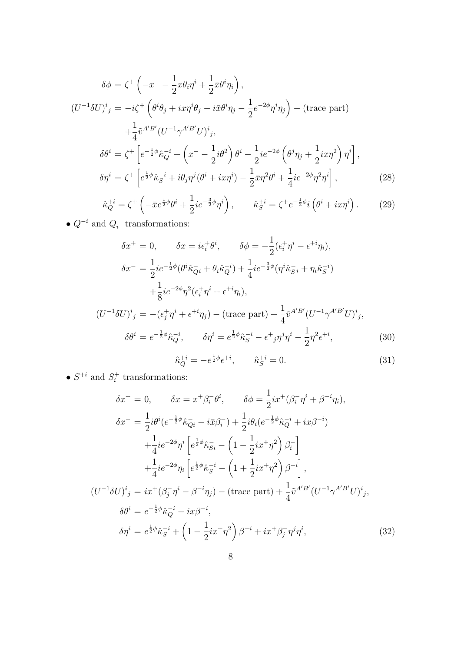$$
\delta \phi = \zeta^{+} \left( -x^{-} - \frac{1}{2} x \theta_{i} \eta^{i} + \frac{1}{2} \bar{x} \theta^{i} \eta_{i} \right),
$$
  
\n
$$
(U^{-1} \delta U)^{i}{}_{j} = -i \zeta^{+} \left( \theta^{i} \theta_{j} + i x \eta^{i} \theta_{j} - i \bar{x} \theta^{i} \eta_{j} - \frac{1}{2} e^{-2\phi} \eta^{i} \eta_{j} \right) - (\text{trace part})
$$
  
\n
$$
+ \frac{1}{4} \tilde{v}^{A'B'} (U^{-1} \gamma^{A'B'} U)^{i}{}_{j},
$$
  
\n
$$
\delta \theta^{i} = \zeta^{+} \left[ e^{-\frac{1}{2} \phi} \hat{\kappa}_{Q}^{-i} + \left( x^{-} - \frac{1}{2} i \theta^{2} \right) \theta^{i} - \frac{1}{2} i e^{-2\phi} \left( \theta^{j} \eta_{j} + \frac{1}{2} i x \eta^{2} \right) \eta^{i} \right],
$$
  
\n
$$
\delta \eta^{i} = \zeta^{+} \left[ e^{\frac{1}{2} \phi} \hat{\kappa}_{S}^{-i} + i \theta_{j} \eta^{j} (\theta^{i} + i x \eta^{i}) - \frac{1}{2} \bar{x} \eta^{2} \theta^{i} + \frac{1}{4} i e^{-2\phi} \eta^{2} \eta^{i} \right],
$$
  
\n
$$
\zeta^{+i} = \zeta^{+} \left( -\frac{1}{2} \phi \eta^{i} + \frac{1}{2} \phi^{-2} \phi^{-i} \right) - \zeta^{+i} \left( -\frac{1}{2} \phi^{-i} \eta^{i} \right) - \zeta^{+i} \left( -\frac{1}{2} \phi^{-i} \eta^{i} \right) - \zeta^{+i} \left( -\frac{1}{2} \phi^{-i} \eta^{i} \right) - \zeta^{+i} \left( -\frac{1}{2} \phi^{-i} \eta^{i} \right) - \zeta^{+i} \left( -\frac{1}{2} \phi^{-i} \eta^{i} \right) - \zeta^{+i} \left( -\frac{1}{2} \phi^{-i} \eta^{i} \right) - \zeta^{+i} \left( -\frac{1}{2} \
$$

$$
\hat{\kappa}_Q^{+i} = \zeta^+ \left( -\bar{x}e^{\frac{1}{2}\phi}\theta^i + \frac{1}{2}ie^{-\frac{3}{2}\phi}\eta^i \right), \qquad \hat{\kappa}_S^{+i} = \zeta^+ e^{-\frac{1}{2}\phi}i\left(\theta^i + ix\eta^i\right). \tag{29}
$$

*• Q−<sup>i</sup>* and *Q − i* transformations:

$$
\delta x^{+} = 0, \qquad \delta x = i\epsilon_{i}^{+} \theta^{i}, \qquad \delta \phi = -\frac{1}{2} (\epsilon_{i}^{+} \eta^{i} - \epsilon^{+i} \eta_{i}),
$$

$$
\delta x^{-} = \frac{1}{2} i e^{-\frac{1}{2} \phi} (\theta^{i} \hat{\kappa}_{qi}^{-} + \theta_{i} \hat{\kappa}_{q}^{-i}) + \frac{1}{4} i e^{-\frac{3}{2} \phi} (\eta^{i} \hat{\kappa}_{si}^{-} + \eta_{i} \hat{\kappa}_{si}^{-i}) + \frac{1}{8} i e^{-2\phi} \eta^{2} (\epsilon_{i}^{+} \eta^{i} + \epsilon^{+i} \eta_{i}),
$$

$$
(U^{-1} \delta U)^{i}{}_{j} = -(\epsilon_{j}^{+} \eta^{i} + \epsilon^{+i} \eta_{j}) - (\text{trace part}) + \frac{1}{4} \tilde{v}^{A'B'} (U^{-1} \gamma^{A'B'} U)^{i}{}_{j},
$$

$$
\delta\theta^{i} = e^{-\frac{1}{2}\phi}\hat{\kappa}_{Q}^{-i}, \qquad \delta\eta^{i} = e^{\frac{1}{2}\phi}\hat{\kappa}_{S}^{-i} - \epsilon^{+}{}_{j}\eta^{j}\eta^{i} - \frac{1}{2}\eta^{2}\epsilon^{+i}, \tag{30}
$$

$$
\hat{\kappa}_Q^{+i} = -e^{\frac{1}{2}\phi}\epsilon^{+i}, \qquad \hat{\kappa}_S^{+i} = 0.
$$
\n(31)

•  $S^{+i}$  and  $S_i^+$  transformations:

$$
\delta x^{+} = 0, \qquad \delta x = x^{+} \beta_{i}^{-} \theta^{i}, \qquad \delta \phi = \frac{1}{2} i x^{+} (\beta_{i}^{-} \eta^{i} + \beta^{-i} \eta_{i}),
$$
  
\n
$$
\delta x^{-} = \frac{1}{2} i \theta^{i} (e^{-\frac{1}{2} \phi} \hat{\kappa}_{Q_{i}} - i \bar{x} \beta_{i}^{-}) + \frac{1}{2} i \theta_{i} (e^{-\frac{1}{2} \phi} \hat{\kappa}_{Q}^{-i} + i x \beta^{-i}) + \frac{1}{4} i e^{-2\phi} \eta^{i} \left[ e^{\frac{1}{2} \phi} \hat{\kappa}_{Si}^{-} - \left( 1 - \frac{1}{2} i x^{+} \eta^{2} \right) \beta_{i}^{-} \right] + \frac{1}{4} i e^{-2\phi} \eta_{i} \left[ e^{\frac{1}{2} \phi} \hat{\kappa}_{Si}^{-i} - \left( 1 + \frac{1}{2} i x^{+} \eta^{2} \right) \beta^{-i} \right],
$$
  
\n
$$
(U^{-1} \delta U)^{i}{}_{j} = i x^{+} (\beta_{j}^{-} \eta^{i} - \beta^{-i} \eta_{j}) - (\text{trace part}) + \frac{1}{4} \tilde{v}^{A'B'} (U^{-1} \gamma^{A'B'} U)^{i}{}_{j},
$$
  
\n
$$
\delta \theta^{i} = e^{-\frac{1}{2} \phi} \tilde{\kappa}_{Q}^{-i} - i x \beta^{-i},
$$
  
\n
$$
\delta \eta^{i} = e^{\frac{1}{2} \phi} \tilde{\kappa}_{S}^{-i} + \left( 1 - \frac{1}{2} i x^{+} \eta^{2} \right) \beta^{-i} + i x^{+} \beta_{j}^{-} \eta^{j} \eta^{i},
$$
  
\n(32)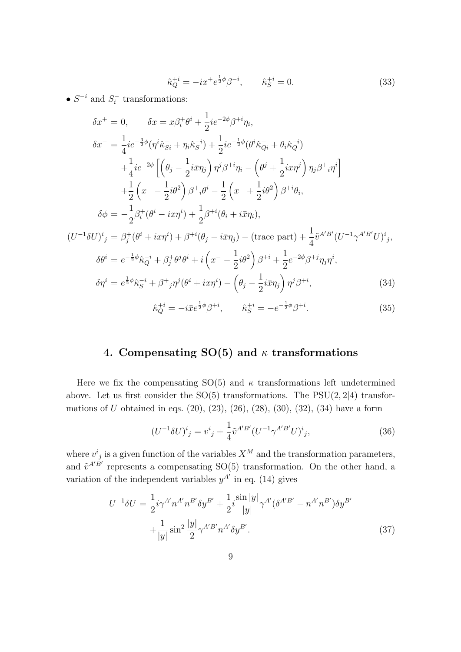$$
\hat{\kappa}_Q^{+i} = -ix^+ e^{\frac{1}{2}\phi} \beta^{-i}, \qquad \hat{\kappa}_S^{+i} = 0.
$$
\n(33)

*• S <sup>−</sup><sup>i</sup>* and *S − i* transformations:

$$
\delta x^{+} = 0, \qquad \delta x = x\beta_{i}^{+}\theta^{i} + \frac{1}{2}ie^{-2\phi}\beta^{+i}\eta_{i},
$$
  
\n
$$
\delta x^{-} = \frac{1}{4}ie^{-\frac{3}{2}\phi}(\eta^{i}\hat{\kappa}_{Si}^{-} + \eta_{i}\hat{\kappa}_{S}^{-i}) + \frac{1}{2}ie^{-\frac{1}{2}\phi}(\theta^{i}\hat{\kappa}_{Qi}^{-} + \theta_{i}\hat{\kappa}_{Q}^{-i})
$$
  
\n
$$
+ \frac{1}{4}ie^{-2\phi}\left[\left(\theta_{j} - \frac{1}{2}i\bar{x}\eta_{j}\right)\eta^{j}\beta^{+i}\eta_{i} - \left(\theta^{j} + \frac{1}{2}i x\eta^{j}\right)\eta_{j}\beta^{+i}\eta^{i}\right]
$$
  
\n
$$
+ \frac{1}{2}\left(x^{-} - \frac{1}{2}i\theta^{2}\right)\beta^{+i}\theta^{i} - \frac{1}{2}\left(x^{-} + \frac{1}{2}i\theta^{2}\right)\beta^{+i}\theta_{i},
$$
  
\n
$$
\delta\phi = -\frac{1}{2}\beta_{i}^{+}(\theta^{i} - ix\eta^{i}) + \frac{1}{2}\beta^{+i}(\theta_{i} + i\bar{x}\eta_{i}),
$$
  
\n
$$
(U^{-1}\delta U)^{i}{}_{j} = \beta_{j}^{+}(\theta^{i} + ix\eta^{i}) + \beta^{+i}(\theta_{j} - i\bar{x}\eta_{j}) - (\text{trace part}) + \frac{1}{4}\tilde{v}^{A'B'}(U^{-1}\gamma^{A'B'}U)^{i}{}_{j},
$$
  
\n
$$
\delta\theta^{i} = e^{-\frac{1}{2}\phi}\hat{\kappa}_{Q}^{-i} + \beta_{j}^{+}\theta^{j}\theta^{i} + i\left(x^{-} - \frac{1}{2}i\theta^{2}\right)\beta^{+i} + \frac{1}{2}e^{-2\phi}\beta^{+j}\eta_{j}\eta^{i},
$$
  
\n
$$
\delta\eta^{i} = e^{\frac{1}{2}\phi}\hat{\kappa}_{S}^{-i} + \beta^{+}{}_{j}\eta^{j}(\theta^{i} + ix\eta^{i}) - \left(\theta_{j} - \frac{1}{2}i\bar{x}\eta_{j}\right)\eta^{j}\beta^{+i},
$$
  
\

## **4. Compensating SO(5) and** *κ* **transformations**

Here we fix the compensating  $SO(5)$  and  $\kappa$  transformations left undetermined above. Let us first consider the SO(5) transformations. The PSU(2*,* 2*|*4) transformations of *U* obtained in eqs. (20), (23), (26), (28), (30), (32), (34) have a form

$$
(U^{-1}\delta U)^{i}{}_{j} = v^{i}{}_{j} + \frac{1}{4}\tilde{v}^{A'B'}(U^{-1}\gamma^{A'B'}U)^{i}{}_{j},\tag{36}
$$

where  $v^i{}_j$  is a given function of the variables  $X^M$  and the transformation parameters, and  $\tilde{v}^{A'B'}$  represents a compensating SO(5) transformation. On the other hand, a variation of the independent variables  $y^{A'}$  in eq. (14) gives

$$
U^{-1}\delta U = \frac{1}{2}i\gamma^{A'}n^{A'}n^{B'}\delta y^{B'} + \frac{1}{2}i\frac{\sin|y|}{|y|}\gamma^{A'}(\delta^{A'B'} - n^{A'}n^{B'})\delta y^{B'} + \frac{1}{|y|}\sin^2\frac{|y|}{2}\gamma^{A'B'}n^{A'}\delta y^{B'}.
$$
 (37)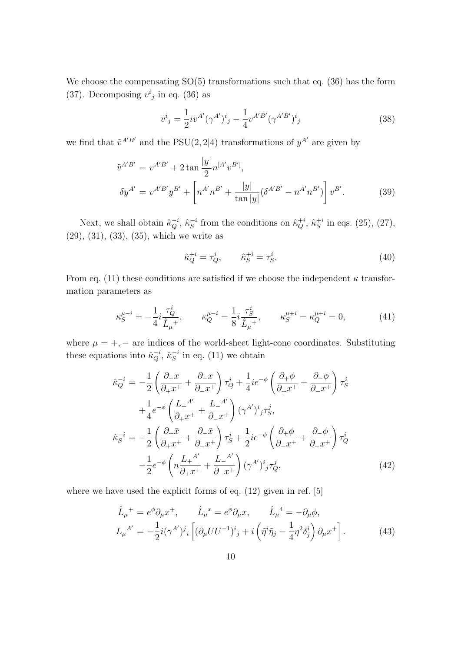We choose the compensating  $SO(5)$  transformations such that eq. (36) has the form (37). Decomposing  $v^i_j$  in eq. (36) as

$$
v^{i}{}_{j} = \frac{1}{2} i v^{A'} (\gamma^{A'})^{i}{}_{j} - \frac{1}{4} v^{A'B'} (\gamma^{A'B'})^{i}{}_{j}
$$
\n(38)

we find that  $\tilde{v}^{A'B'}$  and the PSU(2, 2|4) transformations of  $y^{A'}$  are given by

$$
\tilde{v}^{A'B'} = v^{A'B'} + 2 \tan \frac{|y|}{2} n^{[A'} v^{B']},
$$
  
\n
$$
\delta y^{A'} = v^{A'B'} y^{B'} + \left[ n^{A'} n^{B'} + \frac{|y|}{\tan |y|} (\delta^{A'B'} - n^{A'} n^{B'}) \right] v^{B'}.
$$
\n(39)

Next, we shall obtain  $\hat{\kappa}_Q^{-i}$ ,  $\hat{\kappa}_S^{-i}$  from the conditions on  $\hat{\kappa}_Q^{+i}$ ,  $\hat{\kappa}_S^{+i}$  in eqs. (25), (27), (29), (31), (33), (35), which we write as

$$
\hat{\kappa}_Q^{+i} = \tau_Q^i, \qquad \hat{\kappa}_S^{+i} = \tau_S^i. \tag{40}
$$

From eq. (11) these conditions are satisfied if we choose the independent  $\kappa$  transformation parameters as

$$
\kappa_S^{\mu-i} = -\frac{1}{4} i \frac{\tau_Q^i}{\hat{L}_{\mu}^+}, \qquad \kappa_Q^{\mu-i} = \frac{1}{8} i \frac{\tau_S^i}{\hat{L}_{\mu}^+}, \qquad \kappa_S^{\mu+i} = \kappa_Q^{\mu+i} = 0,\tag{41}
$$

where  $\mu = +, -$  are indices of the world-sheet light-cone coordinates. Substituting these equations into  $\hat{\kappa}_Q^{-i}$ ,  $\hat{\kappa}_S^{-i}$  in eq. (11) we obtain

$$
\hat{\kappa}_{Q}^{-i} = -\frac{1}{2} \left( \frac{\partial_{+} x}{\partial_{+} x^{+}} + \frac{\partial_{-} x}{\partial_{-} x^{+}} \right) \tau_{Q}^{i} + \frac{1}{4} i e^{-\phi} \left( \frac{\partial_{+} \phi}{\partial_{+} x^{+}} + \frac{\partial_{-} \phi}{\partial_{-} x^{+}} \right) \tau_{S}^{i}
$$
\n
$$
+ \frac{1}{4} e^{-\phi} \left( \frac{L_{+}^{A'}}{\partial_{+} x^{+}} + \frac{L_{-}^{A'}}{\partial_{-} x^{+}} \right) (\gamma^{A'})^{i}{}_{j} \tau_{S}^{j},
$$
\n
$$
\hat{\kappa}_{S}^{-i} = -\frac{1}{2} \left( \frac{\partial_{+} \bar{x}}{\partial_{+} x^{+}} + \frac{\partial_{-} \bar{x}}{\partial_{-} x^{+}} \right) \tau_{S}^{i} + \frac{1}{2} i e^{-\phi} \left( \frac{\partial_{+} \phi}{\partial_{+} x^{+}} + \frac{\partial_{-} \phi}{\partial_{-} x^{+}} \right) \tau_{Q}^{i}
$$
\n
$$
- \frac{1}{2} e^{-\phi} \left( n \frac{L_{+}^{A'}}{\partial_{+} x^{+}} + \frac{L_{-}^{A'}}{\partial_{-} x^{+}} \right) (\gamma^{A'})^{i}{}_{j} \tau_{Q}^{j}, \tag{42}
$$

where we have used the explicit forms of eq. (12) given in ref. [5]

$$
\hat{L}_{\mu}^{+} = e^{\phi} \partial_{\mu} x^{+}, \qquad \hat{L}_{\mu}^{x} = e^{\phi} \partial_{\mu} x, \qquad \hat{L}_{\mu}^{4} = -\partial_{\mu} \phi,
$$
\n
$$
L_{\mu}^{A'} = -\frac{1}{2} i (\gamma^{A'})^{j}{}_{i} \left[ (\partial_{\mu} U U^{-1})^{i}{}_{j} + i \left( \tilde{\eta}^{i} \tilde{\eta}_{j} - \frac{1}{4} \eta^{2} \delta_{j}^{i} \right) \partial_{\mu} x^{+} \right]. \tag{43}
$$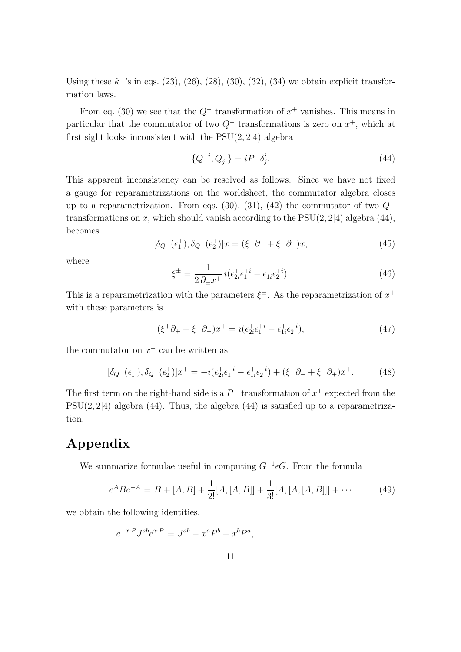Using these  $\hat{\kappa}$ <sup>-</sup>'s in eqs. (23), (26), (28), (30), (32), (34) we obtain explicit transformation laws.

From eq. (30) we see that the  $Q^-$  transformation of  $x^+$  vanishes. This means in particular that the commutator of two *Q<sup>−</sup>* transformations is zero on *x* <sup>+</sup>, which at first sight looks inconsistent with the PSU(2*,* 2*|*4) algebra

$$
\{Q^{-i}, Q_j^-\} = iP^- \delta_j^i. \tag{44}
$$

This apparent inconsistency can be resolved as follows. Since we have not fixed a gauge for reparametrizations on the worldsheet, the commutator algebra closes up to a reparametrization. From eqs. (30), (31), (42) the commutator of two *Q<sup>−</sup>* transformations on *x*, which should vanish according to the PSU(2*,* 2*|*4) algebra (44), becomes

$$
[\delta_{Q} - (\epsilon_1^+), \delta_{Q} - (\epsilon_2^+)]x = (\xi^+ \partial_+ + \xi^- \partial_-)x,\tag{45}
$$

where

$$
\xi^{\pm} = \frac{1}{2\,\partial_{\pm}x^+} \, i(\epsilon_{2i}^+ \epsilon_1^{+i} - \epsilon_{1i}^+ \epsilon_2^{+i}).\tag{46}
$$

This is a reparametrization with the parameters  $\xi^{\pm}$ . As the reparametrization of  $x^{+}$ with these parameters is

$$
(\xi^+ \partial_+ + \xi^- \partial_-)x^+ = i(\epsilon_{2i}^+ \epsilon_1^{+i} - \epsilon_{1i}^+ \epsilon_2^{+i}), \tag{47}
$$

the commutator on  $x^+$  can be written as

$$
[\delta_{Q^{-}}(\epsilon_{1}^{+}), \delta_{Q^{-}}(\epsilon_{2}^{+})]x^{+} = -i(\epsilon_{2i}^{+}\epsilon_{1}^{+i} - \epsilon_{1i}^{+}\epsilon_{2}^{+i}) + (\xi^{-}\partial_{-} + \xi^{+}\partial_{+})x^{+}.
$$
 (48)

The first term on the right-hand side is a  $P^-$  transformation of  $x^+$  expected from the PSU(2*,* 2*|*4) algebra (44). Thus, the algebra (44) is satisfied up to a reparametrization.

## **Appendix**

We summarize formulae useful in computing *G−*<sup>1</sup> *ϵG*. From the formula

$$
e^{A}Be^{-A} = B + [A, B] + \frac{1}{2!}[A, [A, B]] + \frac{1}{3!}[A, [A, [A, B]]] + \cdots
$$
 (49)

we obtain the following identities.

$$
e^{-x \cdot P} J^{ab} e^{x \cdot P} = J^{ab} - x^a P^b + x^b P^a,
$$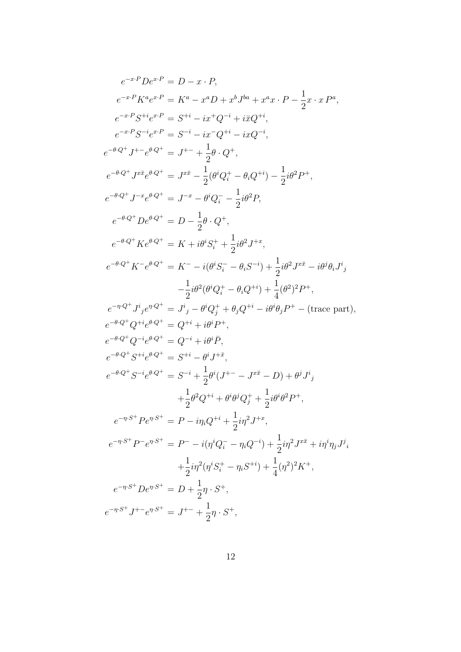$$
e^{-x \cdot P} De^{x \cdot P} = D - x \cdot P,
$$
  
\n
$$
e^{-x \cdot P} K^a e^{x \cdot P} = K^a - x^a D + x^b J^{ba} + x^a x \cdot P - \frac{1}{2} x \cdot x P^a,
$$
  
\n
$$
e^{-x \cdot P} S^{-i} e^{x \cdot P} = S^{-i} - ix^{-} Q^{-i} + ixQ^{-i},
$$
  
\n
$$
e^{-x \cdot P} S^{-i} e^{x \cdot P} = S^{-i} - ix^{-} Q^{-i} - ixQ^{-i},
$$
  
\n
$$
e^{-\theta Q^+} J^{+-} e^{\theta Q^+} = J^{+-} + \frac{1}{2} \theta \cdot Q^+,
$$
  
\n
$$
e^{-\theta Q^+} J^{xx} e^{\theta Q^+} = J^{xx} - \frac{1}{2} (\theta^i Q_i^+ - \theta_i Q^{+i}) - \frac{1}{2} i \theta^2 P^+,
$$
  
\n
$$
e^{-\theta Q^+} J^{-x} e^{\theta Q^+} = J^{-x} - \theta^i Q_i^- - \frac{1}{2} i \theta^2 P,
$$
  
\n
$$
e^{-\theta Q^+} K e^{\theta Q^+} = D - \frac{1}{2} \theta \cdot Q^+,
$$
  
\n
$$
e^{-\theta Q^+} K e^{\theta Q^+} = K + i \theta^i S_i^+ + \frac{1}{2} i \theta^2 J^{+x},
$$
  
\n
$$
e^{-\theta Q^+} K^{-} e^{\theta Q^+} = K^{-} - i (\theta^i S_i^- - \theta_i S^{-i}) + \frac{1}{2} i \theta^2 J^{x \bar{x}} - i \theta^j \theta_i J^i,
$$
  
\n
$$
- \frac{1}{2} i \theta^2 (\theta^i Q_i^+ - \theta_i Q^{+i}) + \frac{1}{4} (\theta^2)^2 P^+,
$$
  
\n
$$
e^{-\theta Q^+} Q^{+i} e^{\theta Q^+} = Q^{+i} + i \theta^i P^+,
$$
  
\n
$$
e^{-\theta Q^+} Q^{+i} e^{\theta Q^+} = Q^{-i} + i \theta^i \bar{P},
$$
  
\n
$$
e^{-\theta Q^+} G^{-i} e^{\theta Q^+} = S^{-i}
$$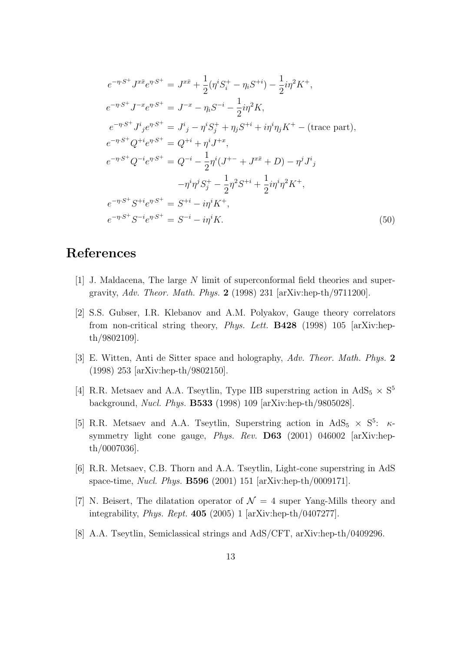$$
e^{-\eta \cdot S^{+}} J^{x \bar{x}} e^{\eta \cdot S^{+}} = J^{x \bar{x}} + \frac{1}{2} (\eta^{i} S_{i}^{+} - \eta_{i} S^{+i}) - \frac{1}{2} i \eta^{2} K^{+},
$$
  
\n
$$
e^{-\eta \cdot S^{+}} J^{-x} e^{\eta \cdot S^{+}} = J^{-x} - \eta_{i} S^{-i} - \frac{1}{2} i \eta^{2} K,
$$
  
\n
$$
e^{-\eta \cdot S^{+}} J^{i}{}_{j} e^{\eta \cdot S^{+}} = J^{i}{}_{j} - \eta^{i} S_{j}^{+} + \eta_{j} S^{+i} + i \eta^{i} \eta_{j} K^{+} - \text{ (trace part)},
$$
  
\n
$$
e^{-\eta \cdot S^{+}} Q^{+i} e^{\eta \cdot S^{+}} = Q^{+i} + \eta^{i} J^{+x},
$$
  
\n
$$
e^{-\eta \cdot S^{+}} Q^{-i} e^{\eta \cdot S^{+}} = Q^{-i} - \frac{1}{2} \eta^{i} (J^{+-} + J^{x \bar{x}} + D) - \eta^{j} J^{i}{}_{j}
$$
  
\n
$$
- \eta^{i} \eta^{j} S_{j}^{+} - \frac{1}{2} \eta^{2} S^{+i} + \frac{1}{2} i \eta^{i} \eta^{2} K^{+},
$$
  
\n
$$
e^{-\eta \cdot S^{+}} S^{+i} e^{\eta \cdot S^{+}} = S^{+i} - i \eta^{i} K^{+},
$$
  
\n
$$
e^{-\eta \cdot S^{+}} S^{-i} e^{\eta \cdot S^{+}} = S^{-i} - i \eta^{i} K.
$$
  
\n(50)

# **References**

- [1] J. Maldacena, The large *N* limit of superconformal field theories and supergravity, *Adv. Theor. Math. Phys.* **2** (1998) 231 [arXiv:hep-th/9711200].
- [2] S.S. Gubser, I.R. Klebanov and A.M. Polyakov, Gauge theory correlators from non-critical string theory, *Phys. Lett.* **B428** (1998) 105 [arXiv:hepth/9802109].
- [3] E. Witten, Anti de Sitter space and holography, *Adv. Theor. Math. Phys.* **2** (1998) 253 [arXiv:hep-th/9802150].
- [4] R.R. Metsaev and A.A. Tseytlin, Type IIB superstring action in  $AdS_5 \times S^5$ background, *Nucl. Phys.* **B533** (1998) 109 [arXiv:hep-th/9805028].
- [5] R.R. Metsaev and A.A. Tseytlin, Superstring action in  $AdS_5 \times S^5$ :  $\kappa$ symmetry light cone gauge, *Phys. Rev.* **D63** (2001) 046002 [arXiv:hepth/0007036].
- [6] R.R. Metsaev, C.B. Thorn and A.A. Tseytlin, Light-cone superstring in AdS space-time, *Nucl. Phys.* **B596** (2001) 151 [arXiv:hep-th/0009171].
- [7] N. Beisert, The dilatation operator of  $\mathcal{N}=4$  super Yang-Mills theory and integrability, *Phys. Rept.* **405** (2005) 1 [arXiv:hep-th/0407277].
- [8] A.A. Tseytlin, Semiclassical strings and AdS/CFT, arXiv:hep-th/0409296.